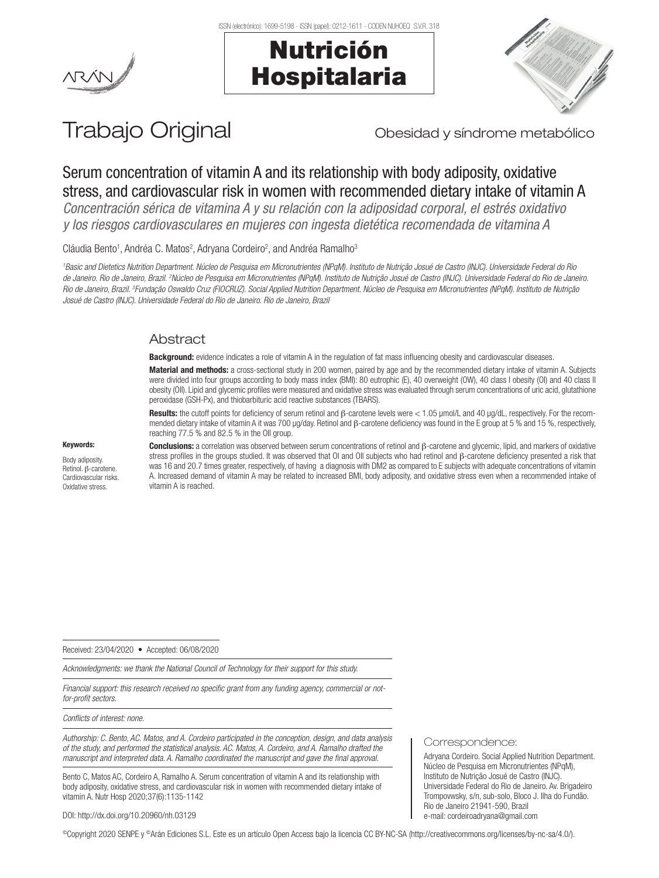





# Trabajo Original **Trabajo Original** Obesidad y síndrome metabólico

## Serum concentration of vitamin A and its relationship with body adiposity, oxidative stress, and cardiovascular risk in women with recommended dietary intake of vitamin A

*Concentración sérica de vitamina A y su relación con la adiposidad corporal, el estrés oxidativo y los riesgos cardiovasculares en mujeres con ingesta dietética recomendada de vitamina A*

Cláudia Bento<sup>1</sup>, Andréa C. Matos<sup>2</sup>, Adryana Cordeiro<sup>2</sup>, and Andréa Ramalho<sup>3</sup>

*1 Basic and Dietetics Nutrition Department. Núcleo de Pesquisa em Micronutrientes (NPqM). Instituto de Nutrição Josué de Castro (INJC). Universidade Federal do Rio*  de Janeiro. Rio de Janeiro, Brazil. <sup>2</sup>Núcleo de Pesquisa em Micronutrientes (NPqM). Instituto de Nutrição Josué de Castro (INJC). Universidade Federal do Rio de Janeiro. *Rio de Janeiro, Brazil. 3 Fundação Oswaldo Cruz (FIOCRUZ). Social Applied Nutrition Department. Núcleo de Pesquisa em Micronutrientes (NPqM). Instituto de Nutrição Josué de Castro (INJC). Universidade Federal do Rio de Janeiro. Rio de Janeiro, Brazil* 

#### Abstract

Background: evidence indicates a role of vitamin A in the regulation of fat mass influencing obesity and cardiovascular diseases.

Material and methods: a cross-sectional study in 200 women, paired by age and by the recommended dietary intake of vitamin A. Subjects were divided into four groups according to body mass index (BMI): 80 eutrophic (E), 40 overweight (OW), 40 class I obesity (OI) and 40 class II obesity (OII). Lipid and glycemic profiles were measured and oxidative stress was evaluated through serum concentrations of uric acid, glutathione peroxidase (GSH-Px), and thiobarbituric acid reactive substances (TBARS).

Results: the cutoff points for deficiency of serum retinol and β-carotene levels were < 1.05 µmol/L and 40 µq/dL, respectively. For the recommended dietary intake of vitamin A it was 700 µg/day. Retinol and β-carotene deficiency was found in the E group at 5 % and 15 %, respectively, reaching 77.5 % and 82.5 % in the OII group.

#### Keywords:

Body adiposity. Retinol. β-carotene. Cardiovascular risks. Oxidative stress.

Conclusions: a correlation was observed between serum concentrations of retinol and β-carotene and glycemic, lipid, and markers of oxidative stress profiles in the groups studied. It was observed that OI and OII subjects who had retinol and β-carotene deficiency presented a risk that was 16 and 20.7 times greater, respectively, of having a diagnosis with DM2 as compared to E subjects with adequate concentrations of vitamin A. Increased demand of vitamin A may be related to increased BMI, body adiposity, and oxidative stress even when a recommended intake of vitamin A is reached.

Received: 23/04/2020 • Accepted: 06/08/2020

*Acknowledgments: we thank the National Council of Technology for their support for this study.*

*Financial support: this research received no specific grant from any funding agency, commercial or notfor-profit sectors.*

*Conflicts of interest: none.*

*Authorship: C. Bento, AC. Matos, and A. Cordeiro participated in the conception, design, and data analysis of the study, and performed the statistical analysis. AC. Matos, A. Cordeiro, and A. Ramalho drafted the manuscript and interpreted data. A. Ramalho coordinated the manuscript and gave the final approval.*

Bento C, Matos AC, Cordeiro A, Ramalho A. Serum concentration of vitamin A and its relationship with body adiposity, oxidative stress, and cardiovascular risk in women with recommended dietary intake of vitamin A. Nutr Hosp 2020;37(6):1135-1142

#### Correspondence:

Adryana Cordeiro. Social Applied Nutrition Department. Núcleo de Pesquisa em Micronutrientes (NPqM), Instituto de Nutrição Josué de Castro (INJC). Universidade Federal do Rio de Janeiro. Av. Brigadeiro Trompovwsky, s/n, sub-solo, Bloco J. Ilha do Fundão. Rio de Janeiro 21941-590, Brazil e-mail: cordeiroadryana@gmail.com

DOI: http://dx.doi.org/10.20960/nh.03129

©Copyright 2020 SENPE y ©Arán Ediciones S.L. Este es un artículo Open Access bajo la licencia CC BY-NC-SA (http://creativecommons.org/licenses/by-nc-sa/4.0/).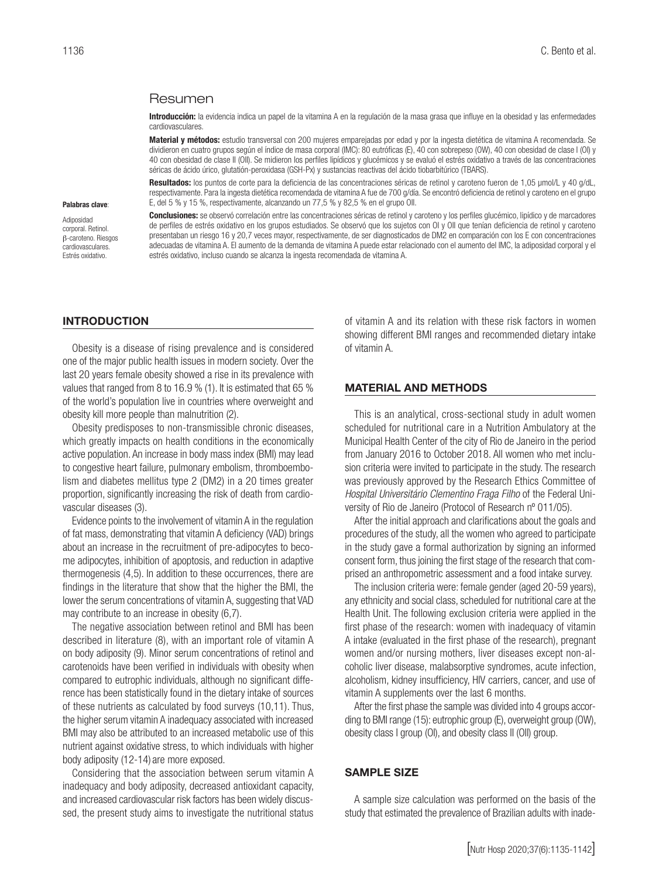#### Resumen

Introducción: la evidencia indica un papel de la vitamina A en la regulación de la masa grasa que influye en la obesidad y las enfermedades cardiovasculares.

Material y métodos: estudio transversal con 200 mujeres emparejadas por edad y por la ingesta dietética de vitamina A recomendada. Se dividieron en cuatro grupos según el índice de masa corporal (IMC): 80 eutróficas (E), 40 con sobrepeso (OW), 40 con obesidad de clase I (OI) y 40 con obesidad de clase II (OII). Se midieron los perfiles lipídicos y glucémicos y se evaluó el estrés oxidativo a través de las concentraciones séricas de ácido úrico, glutatión-peroxidasa (GSH-Px) y sustancias reactivas del ácido tiobarbitúrico (TBARS).

Resultados: los puntos de corte para la deficiencia de las concentraciones séricas de retinol y caroteno fueron de 1,05 µmol/L y 40 q/dL, respectivamente. Para la ingesta dietética recomendada de vitamina A fue de 700 g/día. Se encontró deficiencia de retinol y caroteno en el grupo E, del 5 % y 15 %, respectivamente, alcanzando un 77,5 % y 82,5 % en el grupo OII.

Palabras clave:

Adiposidad corporal. Retinol. β-caroteno. Riesgos cardiovasculares. Estrés oxidativo.

Conclusiones: se observó correlación entre las concentraciones séricas de retinol y caroteno y los perfiles glucémico, lipídico y de marcadores de perfiles de estrés oxidativo en los grupos estudiados. Se observó que los sujetos con OI y OII que tenían deficiencia de retinol y caroteno presentaban un riesgo 16 y 20,7 veces mayor, respectivamente, de ser diagnosticados de DM2 en comparación con los E con concentraciones adecuadas de vitamina A. El aumento de la demanda de vitamina A puede estar relacionado con el aumento del IMC, la adiposidad corporal y el estrés oxidativo, incluso cuando se alcanza la ingesta recomendada de vitamina A.

#### INTRODUCTION

Obesity is a disease of rising prevalence and is considered one of the major public health issues in modern society. Over the last 20 years female obesity showed a rise in its prevalence with values that ranged from 8 to 16.9 % (1). It is estimated that 65 % of the world's population live in countries where overweight and obesity kill more people than malnutrition (2).

Obesity predisposes to non-transmissible chronic diseases, which greatly impacts on health conditions in the economically active population. An increase in body mass index (BMI) may lead to congestive heart failure, pulmonary embolism, thromboembolism and diabetes mellitus type 2 (DM2) in a 20 times greater proportion, significantly increasing the risk of death from cardiovascular diseases (3).

Evidence points to the involvement of vitamin A in the regulation of fat mass, demonstrating that vitamin A deficiency (VAD) brings about an increase in the recruitment of pre-adipocytes to become adipocytes, inhibition of apoptosis, and reduction in adaptive thermogenesis (4,5). In addition to these occurrences, there are findings in the literature that show that the higher the BMI, the lower the serum concentrations of vitamin A, suggesting that VAD may contribute to an increase in obesity (6,7).

The negative association between retinol and BMI has been described in literature (8), with an important role of vitamin A on body adiposity (9). Minor serum concentrations of retinol and carotenoids have been verified in individuals with obesity when compared to eutrophic individuals, although no significant difference has been statistically found in the dietary intake of sources of these nutrients as calculated by food surveys (10,11). Thus, the higher serum vitamin A inadequacy associated with increased BMI may also be attributed to an increased metabolic use of this nutrient against oxidative stress, to which individuals with higher body adiposity (12-14) are more exposed.

Considering that the association between serum vitamin A inadequacy and body adiposity, decreased antioxidant capacity, and increased cardiovascular risk factors has been widely discussed, the present study aims to investigate the nutritional status

of vitamin A and its relation with these risk factors in women showing different BMI ranges and recommended dietary intake of vitamin A.

#### MATERIAL AND METHODS

This is an analytical, cross-sectional study in adult women scheduled for nutritional care in a Nutrition Ambulatory at the Municipal Health Center of the city of Rio de Janeiro in the period from January 2016 to October 2018. All women who met inclusion criteria were invited to participate in the study. The research was previously approved by the Research Ethics Committee of *Hospital Universitário Clementino Fraga Filho* of the Federal University of Rio de Janeiro (Protocol of Research nº 011/05).

After the initial approach and clarifications about the goals and procedures of the study, all the women who agreed to participate in the study gave a formal authorization by signing an informed consent form, thus joining the first stage of the research that comprised an anthropometric assessment and a food intake survey.

The inclusion criteria were: female gender (aged 20-59 years), any ethnicity and social class, scheduled for nutritional care at the Health Unit. The following exclusion criteria were applied in the first phase of the research: women with inadequacy of vitamin A intake (evaluated in the first phase of the research), pregnant women and/or nursing mothers, liver diseases except non-alcoholic liver disease, malabsorptive syndromes, acute infection, alcoholism, kidney insufficiency, HIV carriers, cancer, and use of vitamin A supplements over the last 6 months.

After the first phase the sample was divided into 4 groups according to BMI range (15): eutrophic group (E), overweight group (OW), obesity class I group (OI), and obesity class II (OII) group.

#### SAMPLE SIZE

A sample size calculation was performed on the basis of the study that estimated the prevalence of Brazilian adults with inade-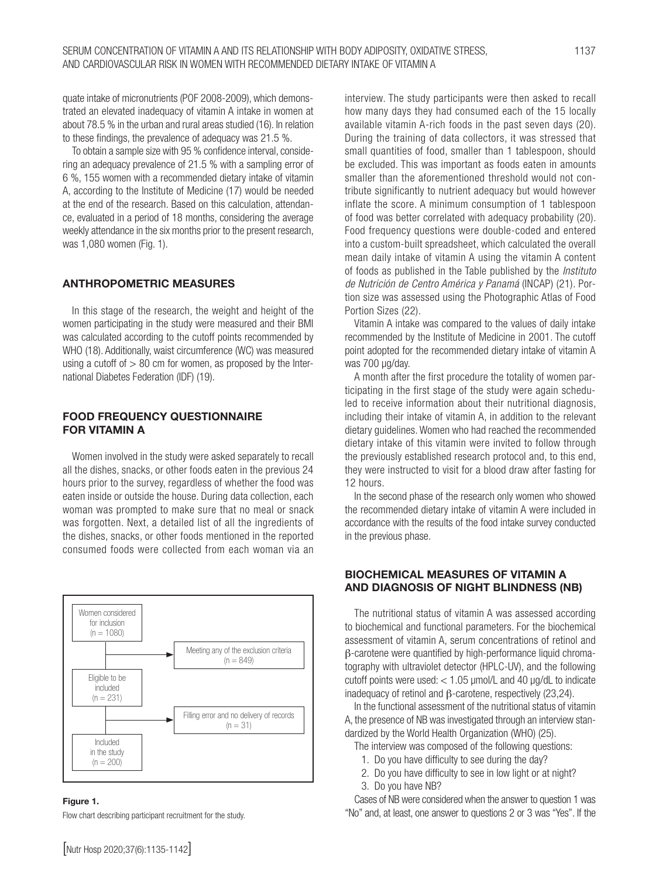quate intake of micronutrients (POF 2008-2009), which demonstrated an elevated inadequacy of vitamin A intake in women at about 78.5 % in the urban and rural areas studied (16). In relation to these findings, the prevalence of adequacy was 21.5 %.

To obtain a sample size with 95 % confidence interval, considering an adequacy prevalence of 21.5 % with a sampling error of 6 %, 155 women with a recommended dietary intake of vitamin A, according to the Institute of Medicine (17) would be needed at the end of the research. Based on this calculation, attendance, evaluated in a period of 18 months, considering the average weekly attendance in the six months prior to the present research, was 1,080 women (Fig. 1).

#### ANTHROPOMETRIC MEASURES

In this stage of the research, the weight and height of the women participating in the study were measured and their BMI was calculated according to the cutoff points recommended by WHO (18). Additionally, waist circumference (WC) was measured using a cutoff of  $> 80$  cm for women, as proposed by the International Diabetes Federation (IDF) (19).

#### FOOD FREQUENCY QUESTIONNAIRE FOR VITAMIN A

Women involved in the study were asked separately to recall all the dishes, snacks, or other foods eaten in the previous 24 hours prior to the survey, regardless of whether the food was eaten inside or outside the house. During data collection, each woman was prompted to make sure that no meal or snack was forgotten. Next, a detailed list of all the ingredients of the dishes, snacks, or other foods mentioned in the reported consumed foods were collected from each woman via an



#### Figure 1.

Flow chart describing participant recruitment for the study.

interview. The study participants were then asked to recall how many days they had consumed each of the 15 locally available vitamin A-rich foods in the past seven days (20). During the training of data collectors, it was stressed that small quantities of food, smaller than 1 tablespoon, should be excluded. This was important as foods eaten in amounts smaller than the aforementioned threshold would not contribute significantly to nutrient adequacy but would however inflate the score. A minimum consumption of 1 tablespoon of food was better correlated with adequacy probability (20). Food frequency questions were double-coded and entered into a custom-built spreadsheet, which calculated the overall mean daily intake of vitamin A using the vitamin A content of foods as published in the Table published by the *Instituto de Nutrición de Centro América y Panamá* (INCAP) (21). Portion size was assessed using the Photographic Atlas of Food Portion Sizes (22).

Vitamin A intake was compared to the values of daily intake recommended by the Institute of Medicine in 2001. The cutoff point adopted for the recommended dietary intake of vitamin A was 700 ug/day.

A month after the first procedure the totality of women participating in the first stage of the study were again scheduled to receive information about their nutritional diagnosis, including their intake of vitamin A, in addition to the relevant dietary guidelines. Women who had reached the recommended dietary intake of this vitamin were invited to follow through the previously established research protocol and, to this end, they were instructed to visit for a blood draw after fasting for 12 hours.

In the second phase of the research only women who showed the recommended dietary intake of vitamin A were included in accordance with the results of the food intake survey conducted in the previous phase.

#### BIOCHEMICAL MEASURES OF VITAMIN A AND DIAGNOSIS OF NIGHT BLINDNESS (NB)

The nutritional status of vitamin A was assessed according to biochemical and functional parameters. For the biochemical assessment of vitamin A, serum concentrations of retinol and β-carotene were quantified by high-performance liquid chromatography with ultraviolet detector (HPLC-UV), and the following cutoff points were used:  $<$  1.05  $\mu$ mol/L and 40  $\mu$ g/dL to indicate inadequacy of retinol and β-carotene, respectively (23,24).

In the functional assessment of the nutritional status of vitamin A, the presence of NB was investigated through an interview standardized by the World Health Organization (WHO) (25).

- The interview was composed of the following questions:
	- 1. Do you have difficulty to see during the day?
- 2. Do you have difficulty to see in low light or at night?
- 3. Do you have NB?

Cases of NB were considered when the answer to question 1 was "No" and, at least, one answer to questions 2 or 3 was "Yes". If the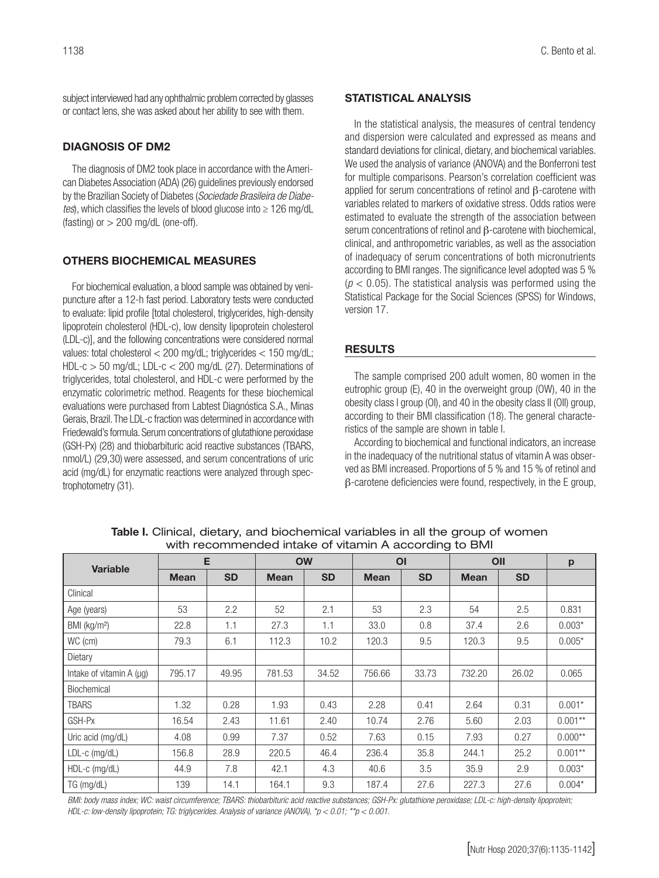subject interviewed had any ophthalmic problem corrected by glasses or contact lens, she was asked about her ability to see with them.

### DIAGNOSIS OF DM2

The diagnosis of DM2 took place in accordance with the American Diabetes Association (ADA) (26) guidelines previously endorsed by the Brazilian Society of Diabetes (*Sociedade Brasileira de Diabetes*), which classifies the levels of blood glucose into ≥ 126 mg/dL (fasting) or  $> 200$  mg/dL (one-off).

#### OTHERS BIOCHEMICAL MEASURES

For biochemical evaluation, a blood sample was obtained by venipuncture after a 12-h fast period. Laboratory tests were conducted to evaluate: lipid profile [total cholesterol, triglycerides, high-density lipoprotein cholesterol (HDL-c), low density lipoprotein cholesterol (LDL-c)], and the following concentrations were considered normal values: total cholesterol < 200 mg/dL; triglycerides < 150 mg/dL; HDL-c > 50 mg/dL; LDL-c < 200 mg/dL (27). Determinations of triglycerides, total cholesterol, and HDL-c were performed by the enzymatic colorimetric method. Reagents for these biochemical evaluations were purchased from Labtest Diagnóstica S.A., Minas Gerais, Brazil. The LDL-c fraction was determined in accordance with Friedewald's formula. Serum concentrations of glutathione peroxidase (GSH-Px) (28) and thiobarbituric acid reactive substances (TBARS, nmol/L) (29,30) were assessed, and serum concentrations of uric acid (mg/dL) for enzymatic reactions were analyzed through spectrophotometry (31).

#### STATISTICAL ANALYSIS

In the statistical analysis, the measures of central tendency and dispersion were calculated and expressed as means and standard deviations for clinical, dietary, and biochemical variables. We used the analysis of variance (ANOVA) and the Bonferroni test for multiple comparisons. Pearson's correlation coefficient was applied for serum concentrations of retinol and β-carotene with variables related to markers of oxidative stress. Odds ratios were estimated to evaluate the strength of the association between serum concentrations of retinol and β-carotene with biochemical, clinical, and anthropometric variables, as well as the association of inadequacy of serum concentrations of both micronutrients according to BMI ranges. The significance level adopted was 5 %  $(p < 0.05)$ . The statistical analysis was performed using the Statistical Package for the Social Sciences (SPSS) for Windows, version 17.

### **RESULTS**

The sample comprised 200 adult women, 80 women in the eutrophic group (E), 40 in the overweight group (OW), 40 in the obesity class I group (OI), and 40 in the obesity class II (OII) group, according to their BMI classification (18). The general characteristics of the sample are shown in table I.

According to biochemical and functional indicators, an increase in the inadequacy of the nutritional status of vitamin A was observed as BMI increased. Proportions of 5 % and 15 % of retinol and β-carotene deficiencies were found, respectively, in the E group,

| <b>Variable</b>              | E           |           | <b>OW</b>   |           | O <sub>1</sub> |           | OII         |           | p          |
|------------------------------|-------------|-----------|-------------|-----------|----------------|-----------|-------------|-----------|------------|
|                              | <b>Mean</b> | <b>SD</b> | <b>Mean</b> | <b>SD</b> | <b>Mean</b>    | <b>SD</b> | <b>Mean</b> | <b>SD</b> |            |
| Clinical                     |             |           |             |           |                |           |             |           |            |
| Age (years)                  | 53          | 2.2       | 52          | 2.1       | 53             | 2.3       | 54          | 2.5       | 0.831      |
| BMI (kg/m <sup>2</sup> )     | 22.8        | 1.1       | 27.3        | 1.1       | 33.0           | 0.8       | 37.4        | 2.6       | $0.003*$   |
| WC (cm)                      | 79.3        | 6.1       | 112.3       | 10.2      | 120.3          | 9.5       | 120.3       | 9.5       | $0.005*$   |
| Dietary                      |             |           |             |           |                |           |             |           |            |
| Intake of vitamin $A(\mu q)$ | 795.17      | 49.95     | 781.53      | 34.52     | 756.66         | 33.73     | 732.20      | 26.02     | 0.065      |
| Biochemical                  |             |           |             |           |                |           |             |           |            |
| TBARS                        | 1.32        | 0.28      | 1.93        | 0.43      | 2.28           | 0.41      | 2.64        | 0.31      | $0.001*$   |
| GSH-Px                       | 16.54       | 2.43      | 11.61       | 2.40      | 10.74          | 2.76      | 5.60        | 2.03      | $0.001**$  |
| Uric acid (mg/dL)            | 4.08        | 0.99      | 7.37        | 0.52      | 7.63           | 0.15      | 7.93        | 0.27      | $0.000**$  |
| $LDL-c$ (mg/dL)              | 156.8       | 28.9      | 220.5       | 46.4      | 236.4          | 35.8      | 244.1       | 25.2      | $0.001***$ |
| HDL-c (mg/dL)                | 44.9        | 7.8       | 42.1        | 4.3       | 40.6           | 3.5       | 35.9        | 2.9       | $0.003*$   |
| TG (mg/dL)                   | 139         | 14.1      | 164.1       | 9.3       | 187.4          | 27.6      | 227.3       | 27.6      | $0.004*$   |

Table I. Clinical, dietary, and biochemical variables in all the group of women with recommended intake of vitamin A according to BMI

*BMI: body mass index; WC: waist circumference; TBARS: thiobarbituric acid reactive substances; GSH-Px: glutathione peroxidase; LDL-c: high-density lipoprotein; HDL-c: low-density lipoprotein; TG: triglycerides. Analysis of variance (ANOVA), \*p < 0.01; \*\*p < 0.001.*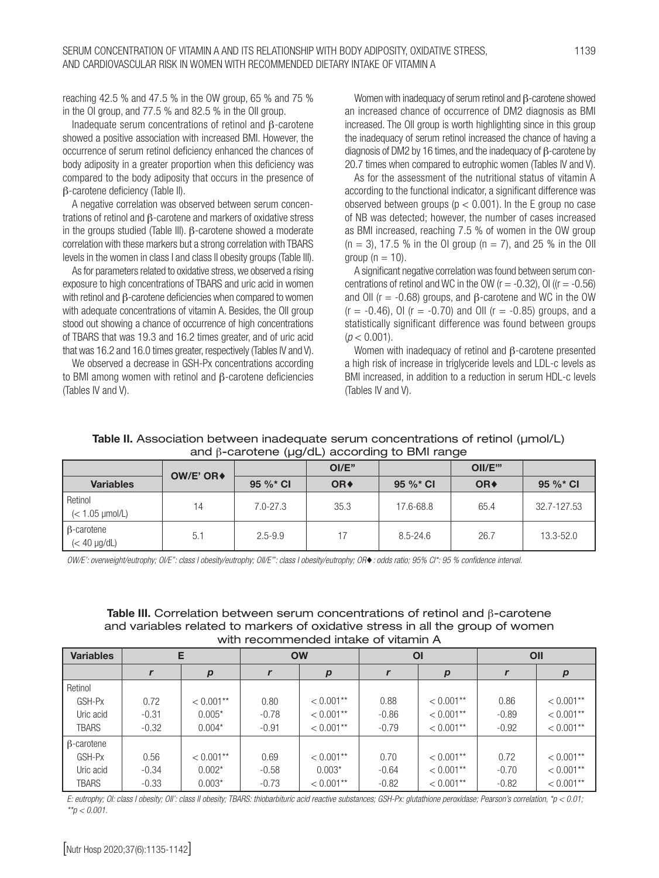reaching 42.5 % and 47.5 % in the OW group, 65 % and 75 % in the OI group, and 77.5 % and 82.5 % in the OII group.

Inadequate serum concentrations of retinol and β-carotene showed a positive association with increased BMI. However, the occurrence of serum retinol deficiency enhanced the chances of body adiposity in a greater proportion when this deficiency was compared to the body adiposity that occurs in the presence of β-carotene deficiency (Table II).

A negative correlation was observed between serum concentrations of retinol and β-carotene and markers of oxidative stress in the groups studied (Table III). β-carotene showed a moderate correlation with these markers but a strong correlation with TBARS levels in the women in class I and class II obesity groups (Table III).

As for parameters related to oxidative stress, we observed a rising exposure to high concentrations of TBARS and uric acid in women with retinol and β-carotene deficiencies when compared to women with adequate concentrations of vitamin A. Besides, the OII group stood out showing a chance of occurrence of high concentrations of TBARS that was 19.3 and 16.2 times greater, and of uric acid that was 16.2 and 16.0 times greater, respectively (Tables IV and V).

We observed a decrease in GSH-Px concentrations according to BMI among women with retinol and β-carotene deficiencies (Tables IV and V).

Women with inadequacy of serum retinol and β-carotene showed an increased chance of occurrence of DM2 diagnosis as BMI increased. The OII group is worth highlighting since in this group the inadequacy of serum retinol increased the chance of having a diagnosis of DM2 by 16 times, and the inadequacy of β-carotene by 20.7 times when compared to eutrophic women (Tables IV and V).

As for the assessment of the nutritional status of vitamin A according to the functional indicator, a significant difference was observed between groups ( $p < 0.001$ ). In the E group no case of NB was detected; however, the number of cases increased as BMI increased, reaching 7.5 % of women in the OW group  $(n = 3)$ , 17.5 % in the OI group  $(n = 7)$ , and 25 % in the OII  $\alpha$ roup (n = 10).

A significant negative correlation was found between serum concentrations of retinol and WC in the OW  $(r = -0.32)$ , OI  $((r = -0.56)$ and OII ( $r = -0.68$ ) groups, and  $\beta$ -carotene and WC in the OW  $(r = -0.46)$ , OI ( $r = -0.70$ ) and OII ( $r = -0.85$ ) groups, and a statistically significant difference was found between groups  $(p < 0.001)$ .

Women with inadequacy of retinol and β-carotene presented a high risk of increase in triglyceride levels and LDL-c levels as BMI increased, in addition to a reduction in serum HDL-c levels (Tables IV and V).

#### Table II. Association between inadequate serum concentrations of retinol (µmol/L) and β-carotene (µg/dL) according to BMI range

|                                        | OW/E' OR $\triangleleft$ |              | OI/E"           |              | OII/E"          |             |
|----------------------------------------|--------------------------|--------------|-----------------|--------------|-----------------|-------------|
| <b>Variables</b>                       |                          | 95 %* CI     | OR <sup>+</sup> | 95 %* CI     | OR <sup>+</sup> | $95 \%$ Cl  |
| Retinol<br>$(< 1.05$ $\mu$ mol/L)      | 14                       | $7.0 - 27.3$ | 35.3            | 17.6-68.8    | 65.4            | 32.7-127.53 |
| $\beta$ -carotene<br>$(< 40 \mu g/dL)$ | 5.1                      | $2.5 - 9.9$  | 17              | $8.5 - 24.6$ | 26.7            | 13.3-52.0   |

*OW/E': overweight/eutrophy; OI/E'': class I obesity/eutrophy; OII/E''': class I obesity/eutrophy; OR*♦*: odds ratio; 95% CI\*: 95 % confidence interval.* 

#### Table III. Correlation between serum concentrations of retinol and β-carotene and variables related to markers of oxidative stress in all the group of women with recommended intake of vitamin A

| <b>Variables</b>  | Е       |                  | <b>OW</b> |                  | ΟI      |                  | OII     |                  |
|-------------------|---------|------------------|-----------|------------------|---------|------------------|---------|------------------|
|                   |         | $\boldsymbol{p}$ |           | $\boldsymbol{p}$ |         | $\boldsymbol{p}$ |         | $\boldsymbol{p}$ |
| Retinol           |         |                  |           |                  |         |                  |         |                  |
| GSH-Px            | 0.72    | $< 0.001**$      | 0.80      | $< 0.001**$      | 0.88    | $< 0.001**$      | 0.86    | $< 0.001$ **     |
| Uric acid         | $-0.31$ | $0.005*$         | $-0.78$   | $< 0.001**$      | $-0.86$ | $< 0.001**$      | $-0.89$ | $< 0.001**$      |
| <b>TBARS</b>      | $-0.32$ | $0.004*$         | $-0.91$   | $< 0.001**$      | $-0.79$ | $< 0.001**$      | $-0.92$ | $< 0.001**$      |
| $\beta$ -carotene |         |                  |           |                  |         |                  |         |                  |
| GSH-Px            | 0.56    | $< 0.001**$      | 0.69      | $< 0.001**$      | 0.70    | $< 0.001**$      | 0.72    | $< 0.001$ **     |
| Uric acid         | $-0.34$ | $0.002*$         | $-0.58$   | $0.003*$         | $-0.64$ | $< 0.001**$      | $-0.70$ | $< 0.001$ **     |
| <b>TBARS</b>      | $-0.33$ | $0.003*$         | $-0.73$   | $< 0.001**$      | $-0.82$ | $< 0.001$ **     | $-0.82$ | $< 0.001$ **     |

*E: eutrophy; OI: class I obesity; OII': class II obesity; TBARS: thiobarbituric acid reactive substances; GSH-Px: glutathione peroxidase; Pearson's correlation, \*p < 0.01; \*\*p < 0.001.*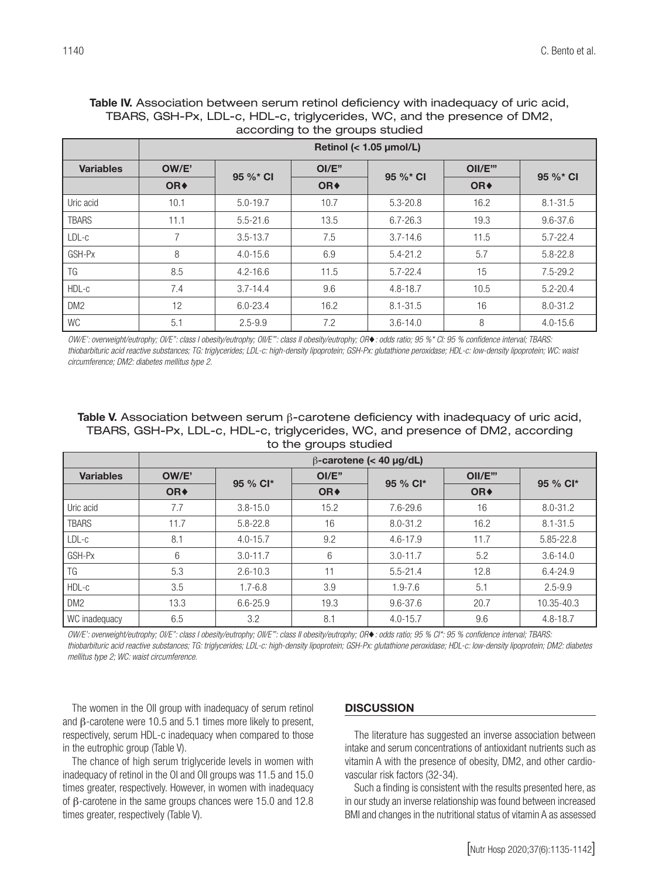#### Table IV. Association between serum retinol deficiency with inadequacy of uric acid, TBARS, GSH-Px, LDL-c, HDL-c, triglycerides, WC, and the presence of DM2, according to the groups studied

|                  | Retinol (< 1.05 µmol/L) |              |                 |              |                 |              |  |  |
|------------------|-------------------------|--------------|-----------------|--------------|-----------------|--------------|--|--|
| <b>Variables</b> | OW/E'                   | 95 %* CI     | OI/E"           | 95 %* CI     | OII/E"          | 95 %* CI     |  |  |
|                  | OR <sup>+</sup>         |              | OR <sup>+</sup> |              | OR <sup>+</sup> |              |  |  |
| Uric acid        | 10.1                    | $5.0 - 19.7$ | 10.7            | $5.3 - 20.8$ | 16.2            | $8.1 - 31.5$ |  |  |
| <b>TBARS</b>     | 11.1                    | $5.5 - 21.6$ | 13.5            | $6.7 - 26.3$ | 19.3            | $9.6 - 37.6$ |  |  |
| LDL-c            |                         | $3.5 - 13.7$ | 7.5             | $3.7 - 14.6$ | 11.5            | $5.7 - 22.4$ |  |  |
| GSH-Px           | 8                       | $4.0 - 15.6$ | 6.9             | $5.4 - 21.2$ | 5.7             | $5.8 - 22.8$ |  |  |
| TG               | 8.5                     | $4.2 - 16.6$ | 11.5            | $5.7 - 22.4$ | 15              | $7.5 - 29.2$ |  |  |
| HDL-c            | 7.4                     | $3.7 - 14.4$ | 9.6             | $4.8 - 18.7$ | 10.5            | $5.2 - 20.4$ |  |  |
| DM <sub>2</sub>  | 12                      | $6.0 - 23.4$ | 16.2            | $8.1 - 31.5$ | 16              | $8.0 - 31.2$ |  |  |
| WC               | 5.1                     | $2.5 - 9.9$  | 7.2             | $3.6 - 14.0$ | 8               | $4.0 - 15.6$ |  |  |

*OW/E': overweight/eutrophy; OI/E'': class I obesity/eutrophy; OII/E''': class II obesity/eutrophy; OR*♦*: odds ratio; 95 %\* CI: 95 % confidence interval; TBARS: thiobarbituric acid reactive substances; TG: triglycerides; LDL-c: high-density lipoprotein; GSH-Px: glutathione peroxidase; HDL-c: low-density lipoprotein; WC: waist circumference; DM2: diabetes mellitus type 2.*

Table V. Association between serum  $\beta$ -carotene deficiency with inadequacy of uric acid, TBARS, GSH-Px, LDL-c, HDL-c, triglycerides, WC, and presence of DM2, according to the groups studied

|                  | $\beta$ -carotene (< 40 µg/dL) |              |                 |              |                 |              |  |  |
|------------------|--------------------------------|--------------|-----------------|--------------|-----------------|--------------|--|--|
| <b>Variables</b> | OW/E'                          | 95 % Cl*     | $OI/E$ "        | 95 % Cl*     | OII/E'''        | 95 % Cl*     |  |  |
|                  | OR <sup>+</sup>                |              | OR <sup>+</sup> |              | OR <sup>+</sup> |              |  |  |
| Uric acid        | 7.7                            | $3.8 - 15.0$ | 15.2            | 7.6-29.6     | 16              | $8.0 - 31.2$ |  |  |
| <b>TBARS</b>     | 11.7                           | $5.8 - 22.8$ | 16              | $8.0 - 31.2$ | 16.2            | $8.1 - 31.5$ |  |  |
| $LDL-c$          | 8.1                            | $4.0 - 15.7$ | 9.2             | $4.6 - 17.9$ | 11.7            | 5.85-22.8    |  |  |
| GSH-Px           | 6                              | $3.0 - 11.7$ | 6               | $3.0 - 11.7$ | 5.2             | $3.6 - 14.0$ |  |  |
| TG               | 5.3                            | $2.6 - 10.3$ | 11              | $5.5 - 21.4$ | 12.8            | $6.4 - 24.9$ |  |  |
| HDL-c            | 3.5                            | $1.7 - 6.8$  | 3.9             | $1.9 - 7.6$  | 5.1             | $2.5 - 9.9$  |  |  |
| DM <sub>2</sub>  | 13.3                           | $6.6 - 25.9$ | 19.3            | $9.6 - 37.6$ | 20.7            | 10.35-40.3   |  |  |
| WC inadequacy    | 6.5                            | 3.2          | 8.1             | $4.0 - 15.7$ | 9.6             | $4.8 - 18.7$ |  |  |

*OW/E': overweight/eutrophy; OI/E'': class I obesity/eutrophy; OII/E''': class II obesity/eutrophy; OR*♦*: odds ratio; 95 % CI\*: 95 % confidence interval; TBARS: thiobarbituric acid reactive substances; TG: triglycerides; LDL-c: high-density lipoprotein; GSH-Px: glutathione peroxidase; HDL-c: low-density lipoprotein; DM2: diabetes mellitus type 2; WC: waist circumference.* 

The women in the OII group with inadequacy of serum retinol and β-carotene were 10.5 and 5.1 times more likely to present, respectively, serum HDL-c inadequacy when compared to those in the eutrophic group (Table V).

The chance of high serum triglyceride levels in women with inadequacy of retinol in the OI and OII groups was 11.5 and 15.0 times greater, respectively. However, in women with inadequacy of β-carotene in the same groups chances were 15.0 and 12.8 times greater, respectively (Table V).

#### **DISCUSSION**

The literature has suggested an inverse association between intake and serum concentrations of antioxidant nutrients such as vitamin A with the presence of obesity, DM2, and other cardiovascular risk factors (32-34).

Such a finding is consistent with the results presented here, as in our study an inverse relationship was found between increased BMI and changes in the nutritional status of vitamin A as assessed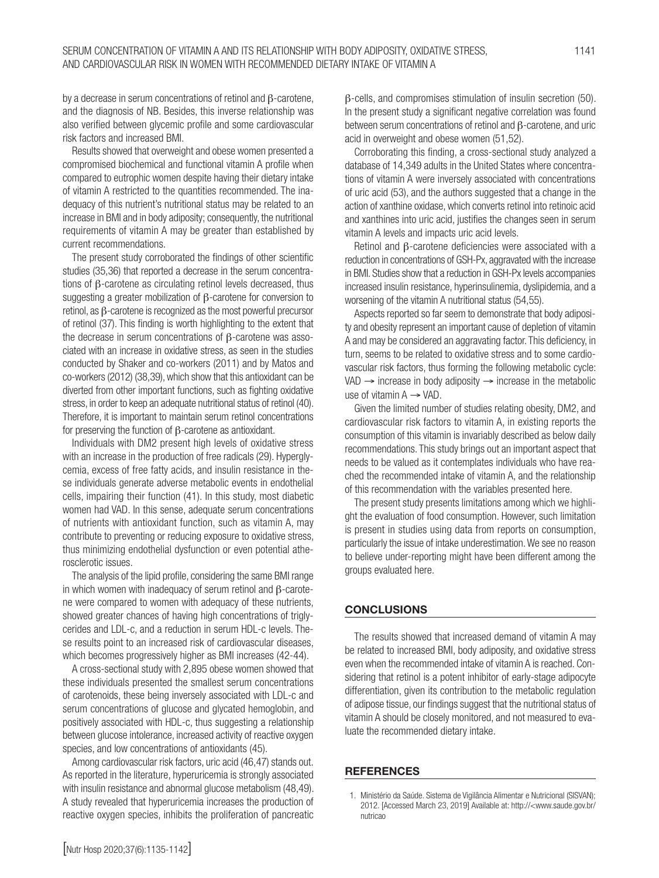by a decrease in serum concentrations of retinol and β-carotene, and the diagnosis of NB. Besides, this inverse relationship was also verified between glycemic profile and some cardiovascular risk factors and increased BMI.

Results showed that overweight and obese women presented a compromised biochemical and functional vitamin A profile when compared to eutrophic women despite having their dietary intake of vitamin A restricted to the quantities recommended. The inadequacy of this nutrient's nutritional status may be related to an increase in BMI and in body adiposity; consequently, the nutritional requirements of vitamin A may be greater than established by current recommendations.

The present study corroborated the findings of other scientific studies (35,36) that reported a decrease in the serum concentrations of β-carotene as circulating retinol levels decreased, thus suggesting a greater mobilization of β-carotene for conversion to retinol, as β-carotene is recognized as the most powerful precursor of retinol (37). This finding is worth highlighting to the extent that the decrease in serum concentrations of β-carotene was associated with an increase in oxidative stress, as seen in the studies conducted by Shaker and co-workers (2011) and by Matos and co-workers (2012) (38,39), which show that this antioxidant can be diverted from other important functions, such as fighting oxidative stress, in order to keep an adequate nutritional status of retinol (40). Therefore, it is important to maintain serum retinol concentrations for preserving the function of β-carotene as antioxidant.

Individuals with DM2 present high levels of oxidative stress with an increase in the production of free radicals (29). Hyperglycemia, excess of free fatty acids, and insulin resistance in these individuals generate adverse metabolic events in endothelial cells, impairing their function (41). In this study, most diabetic women had VAD. In this sense, adequate serum concentrations of nutrients with antioxidant function, such as vitamin A, may contribute to preventing or reducing exposure to oxidative stress, thus minimizing endothelial dysfunction or even potential atherosclerotic issues.

The analysis of the lipid profile, considering the same BMI range in which women with inadequacy of serum retinol and β-carotene were compared to women with adequacy of these nutrients, showed greater chances of having high concentrations of triglycerides and LDL-c, and a reduction in serum HDL-c levels. These results point to an increased risk of cardiovascular diseases, which becomes progressively higher as BMI increases (42-44).

A cross-sectional study with 2,895 obese women showed that these individuals presented the smallest serum concentrations of carotenoids, these being inversely associated with LDL-c and serum concentrations of glucose and glycated hemoglobin, and positively associated with HDL-c, thus suggesting a relationship between glucose intolerance, increased activity of reactive oxygen species, and low concentrations of antioxidants (45).

Among cardiovascular risk factors, uric acid (46,47) stands out. As reported in the literature, hyperuricemia is strongly associated with insulin resistance and abnormal glucose metabolism (48,49). A study revealed that hyperuricemia increases the production of reactive oxygen species, inhibits the proliferation of pancreatic

Corroborating this finding, a cross-sectional study analyzed a database of 14,349 adults in the United States where concentrations of vitamin A were inversely associated with concentrations of uric acid (53), and the authors suggested that a change in the action of xanthine oxidase, which converts retinol into retinoic acid and xanthines into uric acid, justifies the changes seen in serum vitamin A levels and impacts uric acid levels.

Retinol and β-carotene deficiencies were associated with a reduction in concentrations of GSH-Px, aggravated with the increase in BMI. Studies show that a reduction in GSH-Px levels accompanies increased insulin resistance, hyperinsulinemia, dyslipidemia, and a worsening of the vitamin A nutritional status (54,55).

Aspects reported so far seem to demonstrate that body adiposity and obesity represent an important cause of depletion of vitamin A and may be considered an aggravating factor. This deficiency, in turn, seems to be related to oxidative stress and to some cardiovascular risk factors, thus forming the following metabolic cycle: VAD  $\rightarrow$  increase in body adiposity  $\rightarrow$  increase in the metabolic use of vitamin  $A \rightarrow VAD$ .

Given the limited number of studies relating obesity, DM2, and cardiovascular risk factors to vitamin A, in existing reports the consumption of this vitamin is invariably described as below daily recommendations. This study brings out an important aspect that needs to be valued as it contemplates individuals who have reached the recommended intake of vitamin A, and the relationship of this recommendation with the variables presented here.

The present study presents limitations among which we highlight the evaluation of food consumption. However, such limitation is present in studies using data from reports on consumption, particularly the issue of intake underestimation. We see no reason to believe under-reporting might have been different among the groups evaluated here.

#### **CONCLUSIONS**

The results showed that increased demand of vitamin A may be related to increased BMI, body adiposity, and oxidative stress even when the recommended intake of vitamin A is reached. Considering that retinol is a potent inhibitor of early-stage adipocyte differentiation, given its contribution to the metabolic regulation of adipose tissue, our findings suggest that the nutritional status of vitamin A should be closely monitored, and not measured to evaluate the recommended dietary intake.

#### **REFERENCES**

<sup>1.</sup> Ministério da Saúde. Sistema de Vigilância Alimentar e Nutricional (SISVAN); 2012. [Accessed March 23, 2019] Available at: http://<www.saude.gov.br/ nutricao